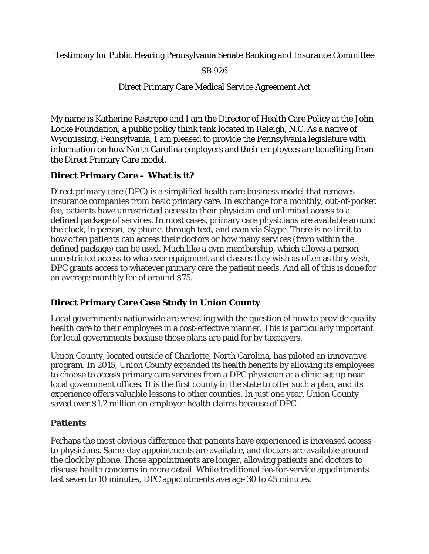Testimony for Public Hearing Pennsylvania Senate Banking and Insurance Committee

SB 926

Direct Primary Care Medical Service Agreement Act

My name is Katherine Restrepo and I am the Director of Health Care Policy at the John Locke Foundation, a public policy think tank located in Raleigh, N.C. As a native of Wyomissing, Pennsylvania, I am pleased to provide the Pennsylvania legislature with information on how North Carolina employers and their employees are benefiting from the Direct Primary Care model.

## **Direct Primary Care – What is it?**

Direct primary care (DPC) is a simplified health care business model that removes insurance companies from basic primary care. In exchange for a monthly, out-of-pocket fee, patients have unrestricted access to their physician and unlimited access to a defined package of services. In most cases, primary care physicians are available around the clock, in person, by phone, through text, and even via Skype. There is no limit to how often patients can access their doctors or how many services (from within the defined package) can be used. Much like a gym membership, which allows a person unrestricted access to whatever equipment and classes they wish as often as they wish, DPC grants access to whatever primary care the patient needs. And all of this is done for an average monthly fee of around \$75.

## **Direct Primary Care Case Study in Union County**

Local governments nationwide are wrestling with the question of how to provide quality health care to their employees in a cost-effective manner. This is particularly important for local governments because those plans are paid for by taxpayers.

Union County, located outside of Charlotte, North Carolina, has piloted an innovative program. In 2015, Union County expanded its health benefits by allowing its employees to choose to access primary care services from a DPC physician at a clinic set up near local government offices. It is the first county in the state to offer such a plan, and its experience offers valuable lessons to other counties. In just one year, Union County saved over \$1.2 million on employee health claims because of DPC.

### **Patients**

Perhaps the most obvious difference that patients have experienced is increased access to physicians. Same-day appointments are available, and doctors are available around the clock by phone. Those appointments are longer, allowing patients and doctors to discuss health concerns in more detail. While traditional fee-for-service appointments last seven to 10 minutes, DPC appointments average 30 to 45 minutes.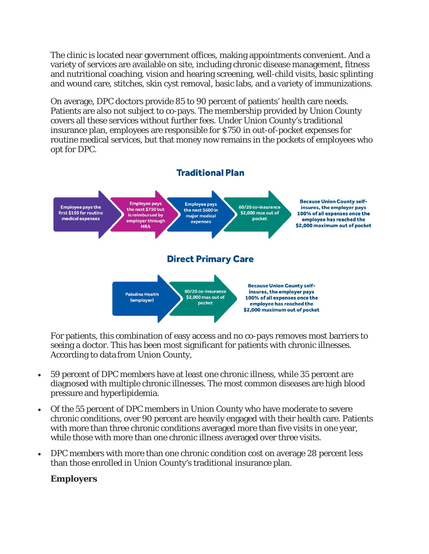The clinic is located near government offices, making appointments convenient. And a variety of services are available on site, including chronic disease management, fitness and nutritional coaching, vision and hearing screening, well-child visits, basic splinting and wound care, stitches, skin cyst removal, basic labs, and a variety of immunizations.

On average, DPC doctors provide 85 to 90 percent of patients' health care needs. Patients are also not subject to co-pays. The membership provided by Union County covers all these services without further fees. Under Union County's traditional insurance plan, employees are responsible for \$750 in out-of-pocket expenses for routine medical services, but that money now remains in the pockets of employees who opt for DPC.



For patients, this combination of easy access and no co-pays removes most barriers to seeing a doctor. This has been most significant for patients with chronic illnesses. According to data from Union County,

- 59 percent of DPC members have at least one chronic illness, while 35 percent are diagnosed with multiple chronic illnesses. The most common diseases are high blood pressure and hyperlipidemia.
- Of the 55 percent of DPC members in Union County who have moderate to severe chronic conditions, over 90 percent are heavily engaged with their health care. Patients with more than three chronic conditions averaged more than five visits in one year, while those with more than one chronic illness averaged over three visits.
- DPC members with more than one chronic condition cost on average 28 percent less than those enrolled in Union County's traditional insurance plan.

### **Employers**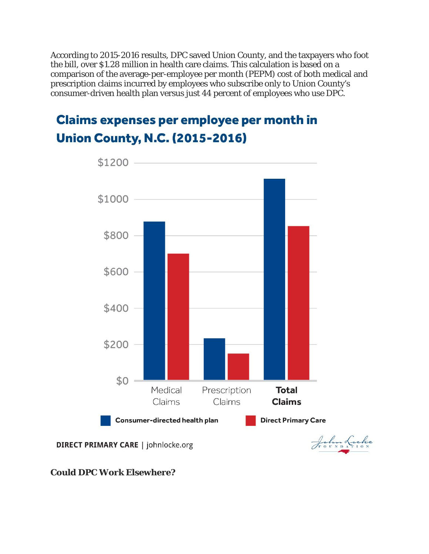According to 2015-2016 results, DPC saved Union County, and the taxpayers who foot the bill, over \$1.28 million in health care claims. This calculation is based on a comparison of the average-per-employee per month (PEPM) cost of both medical and prescription claims incurred by employees who subscribe only to Union County's consumer-driven health plan versus just 44 percent of employees who use DPC.

# **Claims expenses per employee per month in Union County, N.C. (2015-2016)**



**Could DPC Work Elsewhere?**